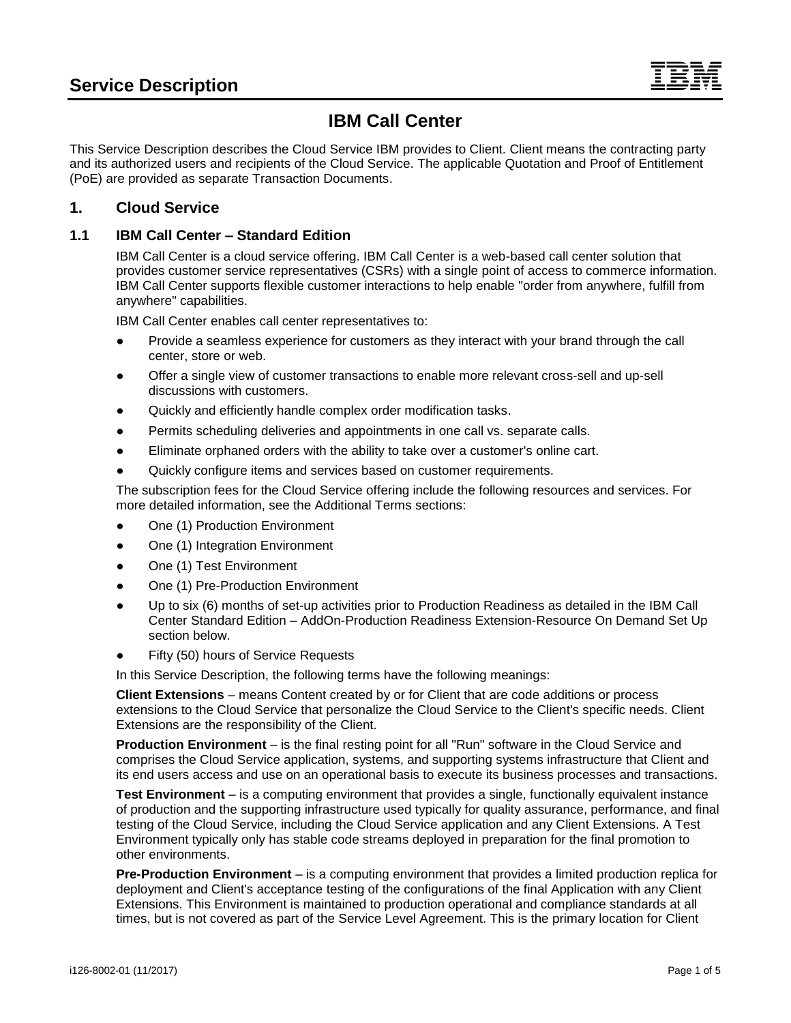# **IBM Call Center**

This Service Description describes the Cloud Service IBM provides to Client. Client means the contracting party and its authorized users and recipients of the Cloud Service. The applicable Quotation and Proof of Entitlement (PoE) are provided as separate Transaction Documents.

### **1. Cloud Service**

### **1.1 IBM Call Center – Standard Edition**

IBM Call Center is a cloud service offering. IBM Call Center is a web-based call center solution that provides customer service representatives (CSRs) with a single point of access to commerce information. IBM Call Center supports flexible customer interactions to help enable "order from anywhere, fulfill from anywhere" capabilities.

IBM Call Center enables call center representatives to:

- Provide a seamless experience for customers as they interact with your brand through the call center, store or web.
- Offer a single view of customer transactions to enable more relevant cross-sell and up-sell discussions with customers.
- Quickly and efficiently handle complex order modification tasks.
- Permits scheduling deliveries and appointments in one call vs. separate calls.
- Eliminate orphaned orders with the ability to take over a customer's online cart.
- Quickly configure items and services based on customer requirements.

The subscription fees for the Cloud Service offering include the following resources and services. For more detailed information, see the Additional Terms sections:

- One (1) Production Environment
- One (1) Integration Environment
- One (1) Test Environment
- One (1) Pre-Production Environment
- Up to six (6) months of set-up activities prior to Production Readiness as detailed in the IBM Call Center Standard Edition – AddOn-Production Readiness Extension-Resource On Demand Set Up section below.
- Fifty (50) hours of Service Requests

In this Service Description, the following terms have the following meanings:

**Client Extensions** – means Content created by or for Client that are code additions or process extensions to the Cloud Service that personalize the Cloud Service to the Client's specific needs. Client Extensions are the responsibility of the Client.

**Production Environment** – is the final resting point for all "Run" software in the Cloud Service and comprises the Cloud Service application, systems, and supporting systems infrastructure that Client and its end users access and use on an operational basis to execute its business processes and transactions.

**Test Environment** – is a computing environment that provides a single, functionally equivalent instance of production and the supporting infrastructure used typically for quality assurance, performance, and final testing of the Cloud Service, including the Cloud Service application and any Client Extensions. A Test Environment typically only has stable code streams deployed in preparation for the final promotion to other environments.

**Pre-Production Environment** – is a computing environment that provides a limited production replica for deployment and Client's acceptance testing of the configurations of the final Application with any Client Extensions. This Environment is maintained to production operational and compliance standards at all times, but is not covered as part of the Service Level Agreement. This is the primary location for Client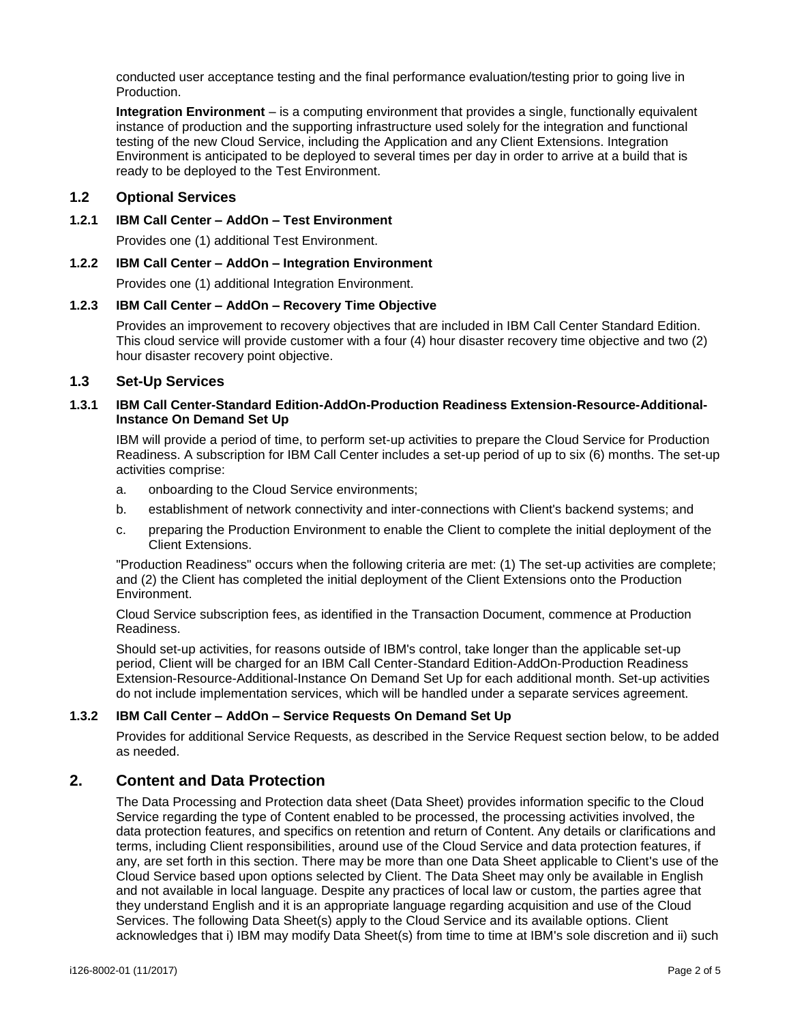conducted user acceptance testing and the final performance evaluation/testing prior to going live in Production.

**Integration Environment** – is a computing environment that provides a single, functionally equivalent instance of production and the supporting infrastructure used solely for the integration and functional testing of the new Cloud Service, including the Application and any Client Extensions. Integration Environment is anticipated to be deployed to several times per day in order to arrive at a build that is ready to be deployed to the Test Environment.

#### **1.2 Optional Services**

#### **1.2.1 IBM Call Center – AddOn – Test Environment**

Provides one (1) additional Test Environment.

#### **1.2.2 IBM Call Center – AddOn – Integration Environment**

Provides one (1) additional Integration Environment.

#### **1.2.3 IBM Call Center – AddOn – Recovery Time Objective**

Provides an improvement to recovery objectives that are included in IBM Call Center Standard Edition. This cloud service will provide customer with a four (4) hour disaster recovery time objective and two (2) hour disaster recovery point objective.

#### **1.3 Set-Up Services**

#### **1.3.1 IBM Call Center-Standard Edition-AddOn-Production Readiness Extension-Resource-Additional-Instance On Demand Set Up**

IBM will provide a period of time, to perform set-up activities to prepare the Cloud Service for Production Readiness. A subscription for IBM Call Center includes a set-up period of up to six (6) months. The set-up activities comprise:

- a. onboarding to the Cloud Service environments;
- b. establishment of network connectivity and inter-connections with Client's backend systems; and
- c. preparing the Production Environment to enable the Client to complete the initial deployment of the Client Extensions.

"Production Readiness" occurs when the following criteria are met: (1) The set-up activities are complete; and (2) the Client has completed the initial deployment of the Client Extensions onto the Production Environment.

Cloud Service subscription fees, as identified in the Transaction Document, commence at Production Readiness.

Should set-up activities, for reasons outside of IBM's control, take longer than the applicable set-up period, Client will be charged for an IBM Call Center-Standard Edition-AddOn-Production Readiness Extension-Resource-Additional-Instance On Demand Set Up for each additional month. Set-up activities do not include implementation services, which will be handled under a separate services agreement.

#### **1.3.2 IBM Call Center – AddOn – Service Requests On Demand Set Up**

Provides for additional Service Requests, as described in the Service Request section below, to be added as needed.

### **2. Content and Data Protection**

The Data Processing and Protection data sheet (Data Sheet) provides information specific to the Cloud Service regarding the type of Content enabled to be processed, the processing activities involved, the data protection features, and specifics on retention and return of Content. Any details or clarifications and terms, including Client responsibilities, around use of the Cloud Service and data protection features, if any, are set forth in this section. There may be more than one Data Sheet applicable to Client's use of the Cloud Service based upon options selected by Client. The Data Sheet may only be available in English and not available in local language. Despite any practices of local law or custom, the parties agree that they understand English and it is an appropriate language regarding acquisition and use of the Cloud Services. The following Data Sheet(s) apply to the Cloud Service and its available options. Client acknowledges that i) IBM may modify Data Sheet(s) from time to time at IBM's sole discretion and ii) such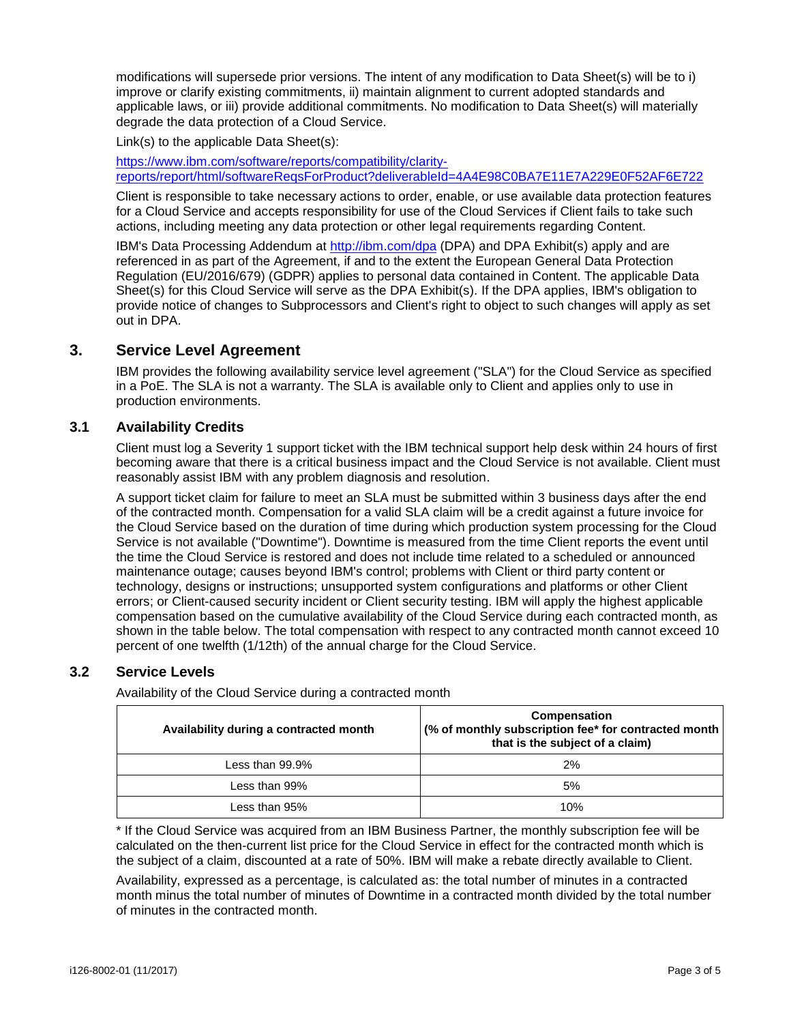modifications will supersede prior versions. The intent of any modification to Data Sheet(s) will be to i) improve or clarify existing commitments, ii) maintain alignment to current adopted standards and applicable laws, or iii) provide additional commitments. No modification to Data Sheet(s) will materially degrade the data protection of a Cloud Service.

Link(s) to the applicable Data Sheet(s):

[https://www.ibm.com/software/reports/compatibility/clarity](https://www.ibm.com/software/reports/compatibility/clarity-reports/report/html/softwareReqsForProduct?deliverableId=4A4E98C0BA7E11E7A229E0F52AF6E722)[reports/report/html/softwareReqsForProduct?deliverableId=4A4E98C0BA7E11E7A229E0F52AF6E722](https://www.ibm.com/software/reports/compatibility/clarity-reports/report/html/softwareReqsForProduct?deliverableId=4A4E98C0BA7E11E7A229E0F52AF6E722)

Client is responsible to take necessary actions to order, enable, or use available data protection features for a Cloud Service and accepts responsibility for use of the Cloud Services if Client fails to take such actions, including meeting any data protection or other legal requirements regarding Content.

IBM's Data Processing Addendum at<http://ibm.com/dpa> (DPA) and DPA Exhibit(s) apply and are referenced in as part of the Agreement, if and to the extent the European General Data Protection Regulation (EU/2016/679) (GDPR) applies to personal data contained in Content. The applicable Data Sheet(s) for this Cloud Service will serve as the DPA Exhibit(s). If the DPA applies, IBM's obligation to provide notice of changes to Subprocessors and Client's right to object to such changes will apply as set out in DPA.

### **3. Service Level Agreement**

IBM provides the following availability service level agreement ("SLA") for the Cloud Service as specified in a PoE. The SLA is not a warranty. The SLA is available only to Client and applies only to use in production environments.

#### **3.1 Availability Credits**

Client must log a Severity 1 support ticket with the IBM technical support help desk within 24 hours of first becoming aware that there is a critical business impact and the Cloud Service is not available. Client must reasonably assist IBM with any problem diagnosis and resolution.

A support ticket claim for failure to meet an SLA must be submitted within 3 business days after the end of the contracted month. Compensation for a valid SLA claim will be a credit against a future invoice for the Cloud Service based on the duration of time during which production system processing for the Cloud Service is not available ("Downtime"). Downtime is measured from the time Client reports the event until the time the Cloud Service is restored and does not include time related to a scheduled or announced maintenance outage; causes beyond IBM's control; problems with Client or third party content or technology, designs or instructions; unsupported system configurations and platforms or other Client errors; or Client-caused security incident or Client security testing. IBM will apply the highest applicable compensation based on the cumulative availability of the Cloud Service during each contracted month, as shown in the table below. The total compensation with respect to any contracted month cannot exceed 10 percent of one twelfth (1/12th) of the annual charge for the Cloud Service.

### **3.2 Service Levels**

Availability of the Cloud Service during a contracted month

| Availability during a contracted month | Compensation<br>$\frac{1}{2}$ (% of monthly subscription fee* for contracted month<br>that is the subject of a claim) |
|----------------------------------------|-----------------------------------------------------------------------------------------------------------------------|
| Less than $99.9\%$                     | 2%                                                                                                                    |
| Less than $99\%$                       | 5%                                                                                                                    |
| Less than 95%                          | 10%                                                                                                                   |

\* If the Cloud Service was acquired from an IBM Business Partner, the monthly subscription fee will be calculated on the then-current list price for the Cloud Service in effect for the contracted month which is the subject of a claim, discounted at a rate of 50%. IBM will make a rebate directly available to Client.

Availability, expressed as a percentage, is calculated as: the total number of minutes in a contracted month minus the total number of minutes of Downtime in a contracted month divided by the total number of minutes in the contracted month.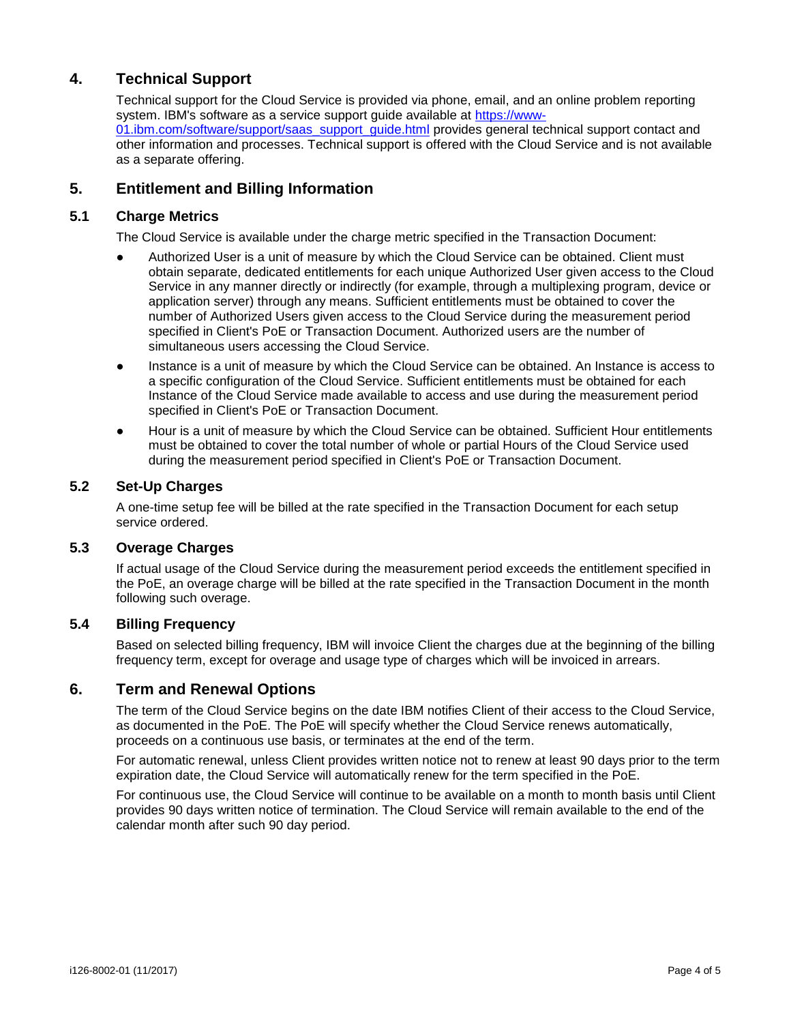## **4. Technical Support**

Technical support for the Cloud Service is provided via phone, email, and an online problem reporting system. IBM's software as a service support guide available at [https://www-](https://www-01.ibm.com/software/support/saas_support_guide.html)01.jbm.com/software/support/saas\_support\_quide.html provides general technical support contact and other information and processes. Technical support is offered with the Cloud Service and is not available as a separate offering.

### **5. Entitlement and Billing Information**

#### **5.1 Charge Metrics**

The Cloud Service is available under the charge metric specified in the Transaction Document:

- Authorized User is a unit of measure by which the Cloud Service can be obtained. Client must obtain separate, dedicated entitlements for each unique Authorized User given access to the Cloud Service in any manner directly or indirectly (for example, through a multiplexing program, device or application server) through any means. Sufficient entitlements must be obtained to cover the number of Authorized Users given access to the Cloud Service during the measurement period specified in Client's PoE or Transaction Document. Authorized users are the number of simultaneous users accessing the Cloud Service.
- Instance is a unit of measure by which the Cloud Service can be obtained. An Instance is access to a specific configuration of the Cloud Service. Sufficient entitlements must be obtained for each Instance of the Cloud Service made available to access and use during the measurement period specified in Client's PoE or Transaction Document.
- Hour is a unit of measure by which the Cloud Service can be obtained. Sufficient Hour entitlements must be obtained to cover the total number of whole or partial Hours of the Cloud Service used during the measurement period specified in Client's PoE or Transaction Document.

### **5.2 Set-Up Charges**

A one-time setup fee will be billed at the rate specified in the Transaction Document for each setup service ordered.

#### **5.3 Overage Charges**

If actual usage of the Cloud Service during the measurement period exceeds the entitlement specified in the PoE, an overage charge will be billed at the rate specified in the Transaction Document in the month following such overage.

### **5.4 Billing Frequency**

Based on selected billing frequency, IBM will invoice Client the charges due at the beginning of the billing frequency term, except for overage and usage type of charges which will be invoiced in arrears.

### **6. Term and Renewal Options**

The term of the Cloud Service begins on the date IBM notifies Client of their access to the Cloud Service, as documented in the PoE. The PoE will specify whether the Cloud Service renews automatically, proceeds on a continuous use basis, or terminates at the end of the term.

For automatic renewal, unless Client provides written notice not to renew at least 90 days prior to the term expiration date, the Cloud Service will automatically renew for the term specified in the PoE.

For continuous use, the Cloud Service will continue to be available on a month to month basis until Client provides 90 days written notice of termination. The Cloud Service will remain available to the end of the calendar month after such 90 day period.